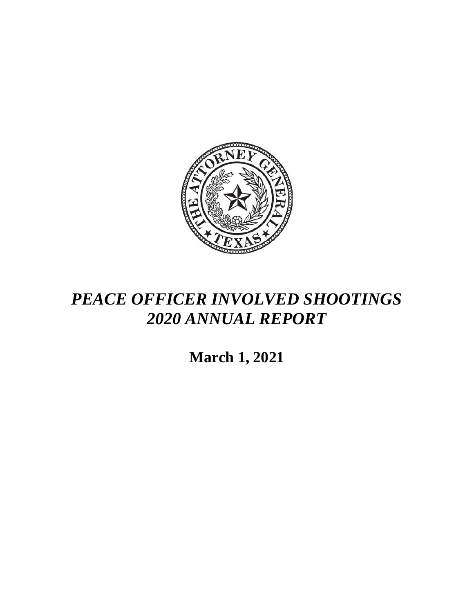

## *PEACE OFFICER INVOLVED SHOOTINGS 2020 ANNUAL REPORT*

**March 1, 2021**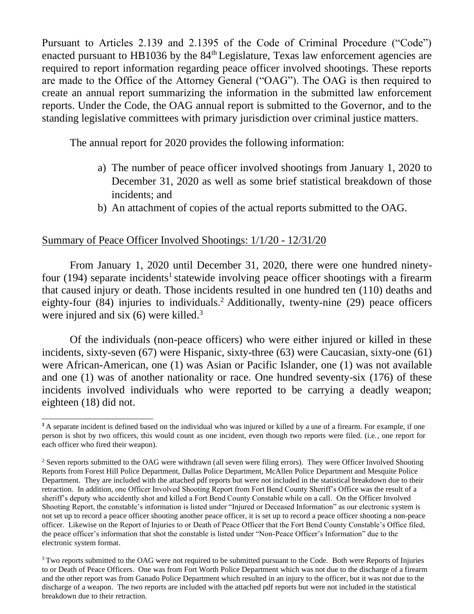Pursuant to Articles 2.139 and 2.1395 of the Code of Criminal Procedure ("Code") enacted pursuant to HB1036 by the  $84<sup>th</sup>$  Legislature, Texas law enforcement agencies are required to report information regarding peace officer involved shootings. These reports are made to the Office of the Attorney General ("OAG"). The OAG is then required to create an annual report summarizing the information in the submitted law enforcement reports. Under the Code, the OAG annual report is submitted to the Governor, and to the standing legislative committees with primary jurisdiction over criminal justice matters.

The annual report for 2020 provides the following information:

- a) The number of peace officer involved shootings from January 1, 2020 to December 31, 2020 as well as some brief statistical breakdown of those incidents; and
- b) An attachment of copies of the actual reports submitted to the OAG.

## Summary of Peace Officer Involved Shootings: 1/1/20 - 12/31/20

From January 1, 2020 until December 31, 2020, there were one hundred ninetyfour (194) separate incidents<sup>1</sup> statewide involving peace officer shootings with a firearm that caused injury or death. Those incidents resulted in one hundred ten (110) deaths and eighty-four (84) injuries to individuals.<sup>2</sup> Additionally, twenty-nine (29) peace officers were injured and six  $(6)$  were killed.<sup>3</sup>

Of the individuals (non-peace officers) who were either injured or killed in these incidents, sixty-seven (67) were Hispanic, sixty-three (63) were Caucasian, sixty-one (61) were African-American, one (1) was Asian or Pacific Islander, one (1) was not available and one (1) was of another nationality or race. One hundred seventy-six (176) of these incidents involved individuals who were reported to be carrying a deadly weapon; eighteen (18) did not.

**<sup>1</sup>**A separate incident is defined based on the individual who was injured or killed by a use of a firearm. For example, if one person is shot by two officers, this would count as one incident, even though two reports were filed. (i.e., one report for each officer who fired their weapon).

<sup>&</sup>lt;sup>2</sup> Seven reports submitted to the OAG were withdrawn (all seven were filing errors). They were Officer Involved Shooting Reports from Forest Hill Police Department, Dallas Police Department, McAllen Police Department and Mesquite Police Department. They are included with the attached pdf reports but were not included in the statistical breakdown due to their retraction. In addition, one Officer Involved Shooting Report from Fort Bend County Sheriff's Office was the result of a sheriff's deputy who accidently shot and killed a Fort Bend County Constable while on a call. On the Officer Involved Shooting Report, the constable's information is listed under "Injured or Deceased Information" as our electronic system is not set up to record a peace officer shooting another peace officer, it is set up to record a peace officer shooting a non-peace officer. Likewise on the Report of Injuries to or Death of Peace Officer that the Fort Bend County Constable's Office filed, the peace officer's information that shot the constable is listed under "Non-Peace Officer's Information" due to the electronic system format.

<sup>&</sup>lt;sup>3</sup>Two reports submitted to the OAG were not required to be submitted pursuant to the Code. Both were Reports of Injuries to or Death of Peace Officers. One was from Fort Worth Police Department which was not due to the discharge of a firearm and the other report was from Ganado Police Department which resulted in an injury to the officer, but it was not due to the discharge of a weapon. The two reports are included with the attached pdf reports but were not included in the statistical breakdown due to their retraction.